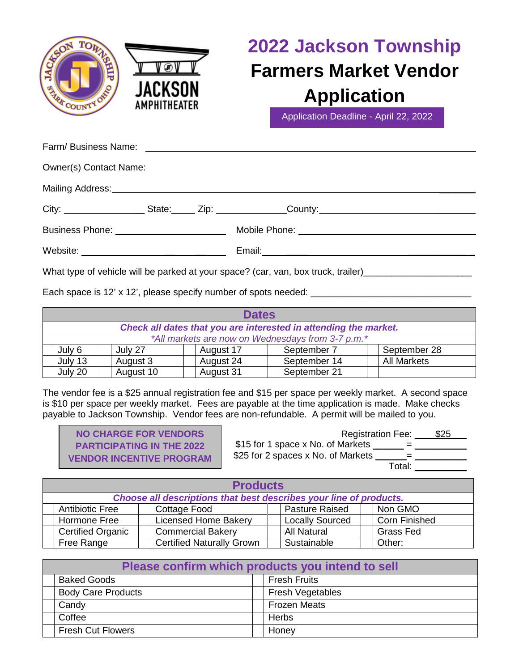

## **2022 Jackson Township Farmers Market Vendor Application**

Application Deadline - April 22, 2022

| Owner(s) Contact Name: Manneled and Contact Name: Management Contact Name: Management Contact Name: Management |                                                                                                      |
|----------------------------------------------------------------------------------------------------------------|------------------------------------------------------------------------------------------------------|
| Mailing Address: Mail and Mail and Mail and Mailing Address: Mail and Mail and Mail and Mail and Mail and Mail |                                                                                                      |
|                                                                                                                | City: ____________________State: _____ Zip: _______________County: _________________________________ |
|                                                                                                                |                                                                                                      |
|                                                                                                                |                                                                                                      |
|                                                                                                                |                                                                                                      |

What type of vehicle will be parked at your space? (car, van, box truck, trailer) \_\_\_\_\_\_\_\_\_\_\_\_\_\_\_\_\_\_\_\_\_\_\_\_\_\_\_\_

Each space is 12' x 12', please specify number of spots needed: \_\_\_\_\_\_\_\_\_\_\_\_\_\_\_\_\_\_\_\_\_\_\_\_\_\_\_\_\_\_\_

| <b>Dates</b>                                                     |           |           |              |                    |
|------------------------------------------------------------------|-----------|-----------|--------------|--------------------|
| Check all dates that you are interested in attending the market. |           |           |              |                    |
| *All markets are now on Wednesdays from 3-7 p.m.*                |           |           |              |                    |
| July 6                                                           | July 27   | August 17 | September 7  | September 28       |
| July 13                                                          | August 3  | August 24 | September 14 | <b>All Markets</b> |
| July 20                                                          | August 10 | August 31 | September 21 |                    |

The vendor fee is a \$25 annual registration fee and \$15 per space per weekly market. A second space is \$10 per space per weekly market. Fees are payable at the time application is made. Make checks payable to Jackson Township. Vendor fees are non-refundable. A permit will be mailed to you.

| <b>NO CHARGE FOR VENDORS</b>     |         |
|----------------------------------|---------|
| <b>PARTICIPATING IN THE 2022</b> | \$15f   |
| <b>VENDOR INCENTIVE PROGRAM</b>  | $$25$ f |

Registration Fee: 525 \$15 for 1 space x No. of Markets \_\_\_\_\_\_ = \_\_\_\_\_\_\_\_\_\_ or 2 spaces x No. of Markets  $\frac{1}{\sqrt{2\pi}} = \frac{1}{\sqrt{2\pi}}$ Total: \_\_\_\_\_\_\_\_\_

| <b>Products</b>                                                    |                                  |  |                        |  |                      |
|--------------------------------------------------------------------|----------------------------------|--|------------------------|--|----------------------|
| Choose all descriptions that best describes your line of products. |                                  |  |                        |  |                      |
| <b>Antibiotic Free</b>                                             | <b>Cottage Food</b>              |  | <b>Pasture Raised</b>  |  | Non GMO              |
| Hormone Free                                                       | <b>Licensed Home Bakery</b>      |  | <b>Locally Sourced</b> |  | <b>Corn Finished</b> |
| <b>Certified Organic</b>                                           | <b>Commercial Bakery</b>         |  | <b>All Natural</b>     |  | <b>Grass Fed</b>     |
| Free Range                                                         | <b>Certified Naturally Grown</b> |  | Sustainable            |  | Other:               |

| Please confirm which products you intend to sell |  |                         |  |  |
|--------------------------------------------------|--|-------------------------|--|--|
| <b>Baked Goods</b>                               |  | <b>Fresh Fruits</b>     |  |  |
| <b>Body Care Products</b>                        |  | <b>Fresh Vegetables</b> |  |  |
| Candy                                            |  | <b>Frozen Meats</b>     |  |  |
| Coffee                                           |  | Herbs                   |  |  |
| <b>Fresh Cut Flowers</b>                         |  | Honey                   |  |  |